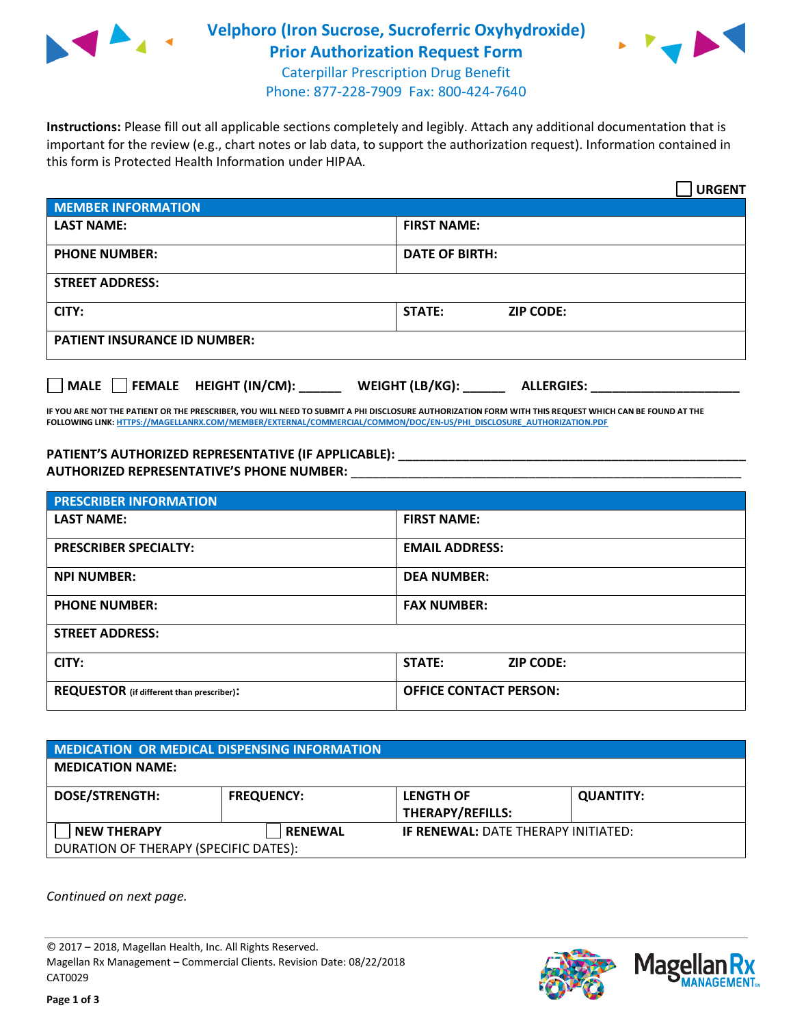

# **Velphoro (Iron Sucrose, Sucroferric Oxyhydroxide) Prior Authorization Request Form**



Caterpillar Prescription Drug Benefit Phone: 877-228-7909 Fax: 800-424-7640

**Instructions:** Please fill out all applicable sections completely and legibly. Attach any additional documentation that is important for the review (e.g., chart notes or lab data, to support the authorization request). Information contained in this form is Protected Health Information under HIPAA.

|                                                                               | <b>URGENT</b>              |  |  |  |
|-------------------------------------------------------------------------------|----------------------------|--|--|--|
| <b>MEMBER INFORMATION</b>                                                     |                            |  |  |  |
| <b>LAST NAME:</b>                                                             | <b>FIRST NAME:</b>         |  |  |  |
| <b>PHONE NUMBER:</b>                                                          | <b>DATE OF BIRTH:</b>      |  |  |  |
| <b>STREET ADDRESS:</b>                                                        |                            |  |  |  |
| CITY:                                                                         | STATE:<br><b>ZIP CODE:</b> |  |  |  |
| <b>PATIENT INSURANCE ID NUMBER:</b>                                           |                            |  |  |  |
| FEMALE HEIGHT (IN/CM):<br>WEIGHT (LB/KG):<br><b>MALE</b><br><b>ALLERGIES:</b> |                            |  |  |  |

**IF YOU ARE NOT THE PATIENT OR THE PRESCRIBER, YOU WILL NEED TO SUBMIT A PHI DISCLOSURE AUTHORIZATION FORM WITH THIS REQUEST WHICH CAN BE FOUND AT THE FOLLOWING LINK[: HTTPS://MAGELLANRX.COM/MEMBER/EXTERNAL/COMMERCIAL/COMMON/DOC/EN-US/PHI\\_DISCLOSURE\\_AUTHORIZATION.PDF](https://magellanrx.com/member/external/commercial/common/doc/en-us/PHI_Disclosure_Authorization.pdf)**

**PATIENT'S AUTHORIZED REPRESENTATIVE (IF APPLICABLE): \_\_\_\_\_\_\_\_\_\_\_\_\_\_\_\_\_\_\_\_\_\_\_\_\_\_\_\_\_\_\_\_\_\_\_\_\_\_\_\_\_\_\_\_\_\_\_\_\_ AUTHORIZED REPRESENTATIVE'S PHONE NUMBER:** \_\_\_\_\_\_\_\_\_\_\_\_\_\_\_\_\_\_\_\_\_\_\_\_\_\_\_\_\_\_\_\_\_\_\_\_\_\_\_\_\_\_\_\_\_\_\_\_\_\_\_\_\_\_\_

| <b>PRESCRIBER INFORMATION</b>             |                               |  |  |  |
|-------------------------------------------|-------------------------------|--|--|--|
| <b>LAST NAME:</b>                         | <b>FIRST NAME:</b>            |  |  |  |
| <b>PRESCRIBER SPECIALTY:</b>              | <b>EMAIL ADDRESS:</b>         |  |  |  |
| <b>NPI NUMBER:</b>                        | <b>DEA NUMBER:</b>            |  |  |  |
| <b>PHONE NUMBER:</b>                      | <b>FAX NUMBER:</b>            |  |  |  |
| <b>STREET ADDRESS:</b>                    |                               |  |  |  |
| CITY:                                     | STATE:<br><b>ZIP CODE:</b>    |  |  |  |
| REQUESTOR (if different than prescriber): | <b>OFFICE CONTACT PERSON:</b> |  |  |  |

| MEDICATION OR MEDICAL DISPENSING INFORMATION |                   |                                            |                  |  |  |
|----------------------------------------------|-------------------|--------------------------------------------|------------------|--|--|
| <b>MEDICATION NAME:</b>                      |                   |                                            |                  |  |  |
| <b>DOSE/STRENGTH:</b>                        | <b>FREQUENCY:</b> | <b>LENGTH OF</b>                           | <b>QUANTITY:</b> |  |  |
|                                              |                   | <b>THERAPY/REFILLS:</b>                    |                  |  |  |
| <b>NEW THERAPY</b>                           | <b>RENEWAL</b>    | <b>IF RENEWAL: DATE THERAPY INITIATED:</b> |                  |  |  |
| DURATION OF THERAPY (SPECIFIC DATES):        |                   |                                            |                  |  |  |

*Continued on next page.*

© 2017 – 2018, Magellan Health, Inc. All Rights Reserved. Magellan Rx Management – Commercial Clients. Revision Date: 08/22/2018 CAT0029



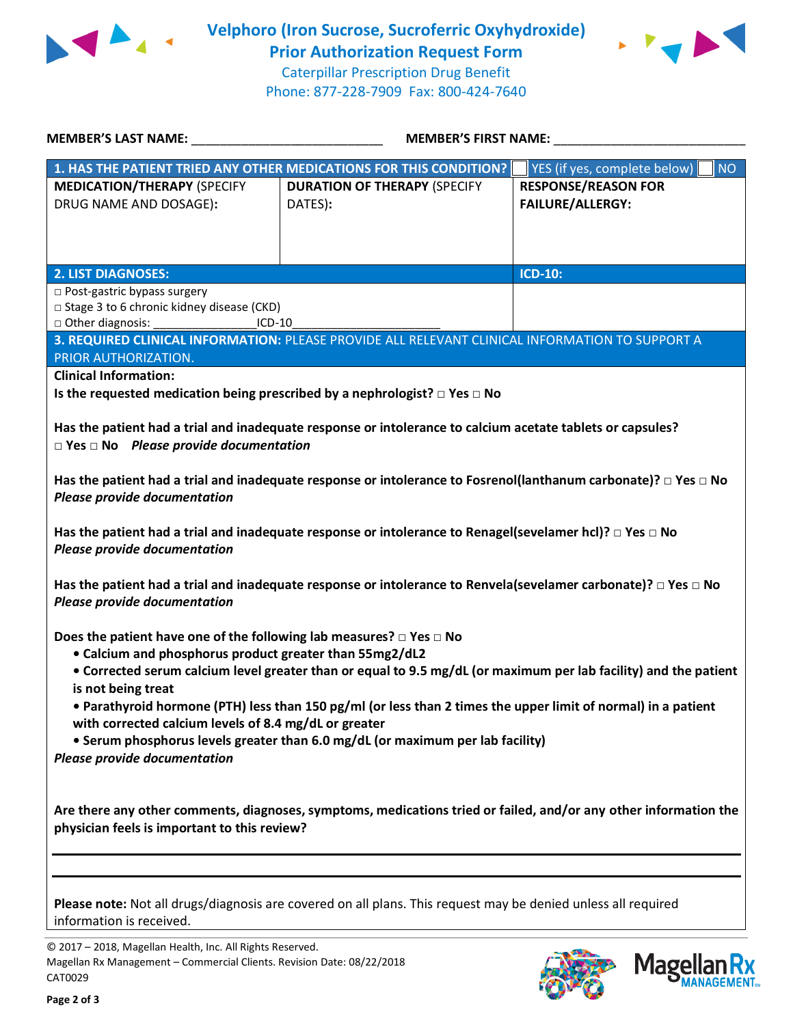



Caterpillar Prescription Drug Benefit Phone: 877-228-7909 Fax: 800-424-7640

| 1. HAS THE PATIENT TRIED ANY OTHER MEDICATIONS FOR THIS CONDITION?<br><b>NO</b><br>YES (if yes, complete below)<br><b>MEDICATION/THERAPY (SPECIFY</b><br><b>RESPONSE/REASON FOR</b><br><b>DURATION OF THERAPY (SPECIFY</b><br><b>FAILURE/ALLERGY:</b><br>DRUG NAME AND DOSAGE):<br>DATES):<br><b>ICD-10:</b><br><b>2. LIST DIAGNOSES:</b><br>□ Post-gastric bypass surgery<br>□ Stage 3 to 6 chronic kidney disease (CKD)<br>□ Other diagnosis:<br>$ICD-10$<br>3. REQUIRED CLINICAL INFORMATION: PLEASE PROVIDE ALL RELEVANT CLINICAL INFORMATION TO SUPPORT A<br>PRIOR AUTHORIZATION.<br><b>Clinical Information:</b><br>Is the requested medication being prescribed by a nephrologist? $\Box$ Yes $\Box$ No<br>Has the patient had a trial and inadequate response or intolerance to calcium acetate tablets or capsules?<br>$\Box$ Yes $\Box$ No Please provide documentation<br>Has the patient had a trial and inadequate response or intolerance to Fosrenol(lanthanum carbonate)? $\Box$ Yes $\Box$ No<br><b>Please provide documentation</b><br>Has the patient had a trial and inadequate response or intolerance to Renagel(sevelamer hcl)? $\Box$ Yes $\Box$ No<br>Please provide documentation<br>Has the patient had a trial and inadequate response or intolerance to Renvela(sevelamer carbonate)? $\Box$ Yes $\Box$ No<br><b>Please provide documentation</b><br>Does the patient have one of the following lab measures? $\square$ Yes $\square$ No<br>• Calcium and phosphorus product greater than 55mg2/dL2<br>• Corrected serum calcium level greater than or equal to 9.5 mg/dL (or maximum per lab facility) and the patient<br>is not being treat<br>• Parathyroid hormone (PTH) less than 150 pg/ml (or less than 2 times the upper limit of normal) in a patient<br>with corrected calcium levels of 8.4 mg/dL or greater<br>• Serum phosphorus levels greater than 6.0 mg/dL (or maximum per lab facility)<br>Please provide documentation<br>Are there any other comments, diagnoses, symptoms, medications tried or failed, and/or any other information the | <b>MEMBER'S LAST NAME:</b> | <b>MEMBER'S FIRST NAME:</b> |  |  |  |
|--------------------------------------------------------------------------------------------------------------------------------------------------------------------------------------------------------------------------------------------------------------------------------------------------------------------------------------------------------------------------------------------------------------------------------------------------------------------------------------------------------------------------------------------------------------------------------------------------------------------------------------------------------------------------------------------------------------------------------------------------------------------------------------------------------------------------------------------------------------------------------------------------------------------------------------------------------------------------------------------------------------------------------------------------------------------------------------------------------------------------------------------------------------------------------------------------------------------------------------------------------------------------------------------------------------------------------------------------------------------------------------------------------------------------------------------------------------------------------------------------------------------------------------------------------------------------------------------------------------------------------------------------------------------------------------------------------------------------------------------------------------------------------------------------------------------------------------------------------------------------------------------------------------------------------------------------------------------------------------------------------------------------------------------------------------------------------------------|----------------------------|-----------------------------|--|--|--|
|                                                                                                                                                                                                                                                                                                                                                                                                                                                                                                                                                                                                                                                                                                                                                                                                                                                                                                                                                                                                                                                                                                                                                                                                                                                                                                                                                                                                                                                                                                                                                                                                                                                                                                                                                                                                                                                                                                                                                                                                                                                                                            |                            |                             |  |  |  |
|                                                                                                                                                                                                                                                                                                                                                                                                                                                                                                                                                                                                                                                                                                                                                                                                                                                                                                                                                                                                                                                                                                                                                                                                                                                                                                                                                                                                                                                                                                                                                                                                                                                                                                                                                                                                                                                                                                                                                                                                                                                                                            |                            |                             |  |  |  |
|                                                                                                                                                                                                                                                                                                                                                                                                                                                                                                                                                                                                                                                                                                                                                                                                                                                                                                                                                                                                                                                                                                                                                                                                                                                                                                                                                                                                                                                                                                                                                                                                                                                                                                                                                                                                                                                                                                                                                                                                                                                                                            |                            |                             |  |  |  |
|                                                                                                                                                                                                                                                                                                                                                                                                                                                                                                                                                                                                                                                                                                                                                                                                                                                                                                                                                                                                                                                                                                                                                                                                                                                                                                                                                                                                                                                                                                                                                                                                                                                                                                                                                                                                                                                                                                                                                                                                                                                                                            |                            |                             |  |  |  |
|                                                                                                                                                                                                                                                                                                                                                                                                                                                                                                                                                                                                                                                                                                                                                                                                                                                                                                                                                                                                                                                                                                                                                                                                                                                                                                                                                                                                                                                                                                                                                                                                                                                                                                                                                                                                                                                                                                                                                                                                                                                                                            |                            |                             |  |  |  |
|                                                                                                                                                                                                                                                                                                                                                                                                                                                                                                                                                                                                                                                                                                                                                                                                                                                                                                                                                                                                                                                                                                                                                                                                                                                                                                                                                                                                                                                                                                                                                                                                                                                                                                                                                                                                                                                                                                                                                                                                                                                                                            |                            |                             |  |  |  |
|                                                                                                                                                                                                                                                                                                                                                                                                                                                                                                                                                                                                                                                                                                                                                                                                                                                                                                                                                                                                                                                                                                                                                                                                                                                                                                                                                                                                                                                                                                                                                                                                                                                                                                                                                                                                                                                                                                                                                                                                                                                                                            |                            |                             |  |  |  |
|                                                                                                                                                                                                                                                                                                                                                                                                                                                                                                                                                                                                                                                                                                                                                                                                                                                                                                                                                                                                                                                                                                                                                                                                                                                                                                                                                                                                                                                                                                                                                                                                                                                                                                                                                                                                                                                                                                                                                                                                                                                                                            |                            |                             |  |  |  |
|                                                                                                                                                                                                                                                                                                                                                                                                                                                                                                                                                                                                                                                                                                                                                                                                                                                                                                                                                                                                                                                                                                                                                                                                                                                                                                                                                                                                                                                                                                                                                                                                                                                                                                                                                                                                                                                                                                                                                                                                                                                                                            |                            |                             |  |  |  |
|                                                                                                                                                                                                                                                                                                                                                                                                                                                                                                                                                                                                                                                                                                                                                                                                                                                                                                                                                                                                                                                                                                                                                                                                                                                                                                                                                                                                                                                                                                                                                                                                                                                                                                                                                                                                                                                                                                                                                                                                                                                                                            |                            |                             |  |  |  |
| physician feels is important to this review?                                                                                                                                                                                                                                                                                                                                                                                                                                                                                                                                                                                                                                                                                                                                                                                                                                                                                                                                                                                                                                                                                                                                                                                                                                                                                                                                                                                                                                                                                                                                                                                                                                                                                                                                                                                                                                                                                                                                                                                                                                               |                            |                             |  |  |  |
|                                                                                                                                                                                                                                                                                                                                                                                                                                                                                                                                                                                                                                                                                                                                                                                                                                                                                                                                                                                                                                                                                                                                                                                                                                                                                                                                                                                                                                                                                                                                                                                                                                                                                                                                                                                                                                                                                                                                                                                                                                                                                            |                            |                             |  |  |  |
| Please note: Not all drugs/diagnosis are covered on all plans. This request may be denied unless all required<br>information is received.                                                                                                                                                                                                                                                                                                                                                                                                                                                                                                                                                                                                                                                                                                                                                                                                                                                                                                                                                                                                                                                                                                                                                                                                                                                                                                                                                                                                                                                                                                                                                                                                                                                                                                                                                                                                                                                                                                                                                  |                            |                             |  |  |  |

© 2017 – 2018, Magellan Health, Inc. All Rights Reserved. Magellan Rx Management – Commercial Clients. Revision Date: 08/22/2018 CAT0029



**Mage** 

Кx **ANAGEMENT**<sub>SM</sub>